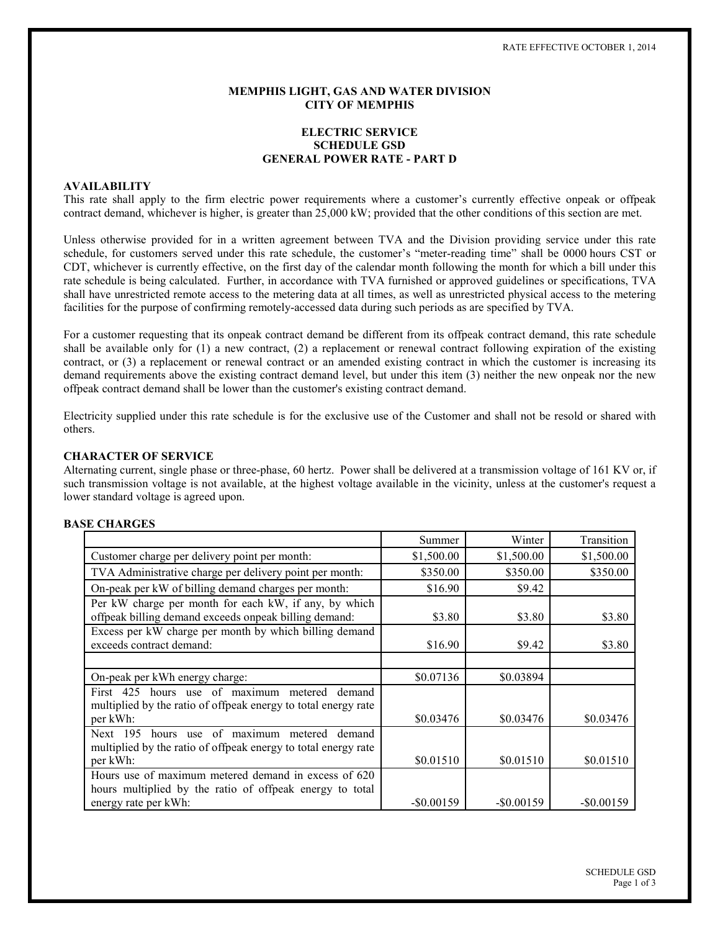### **MEMPHIS LIGHT, GAS AND WATER DIVISION CITY OF MEMPHIS**

# **ELECTRIC SERVICE SCHEDULE GSD GENERAL POWER RATE - PART D**

## **AVAILABILITY**

This rate shall apply to the firm electric power requirements where a customer's currently effective onpeak or offpeak contract demand, whichever is higher, is greater than 25,000 kW; provided that the other conditions of this section are met.

Unless otherwise provided for in a written agreement between TVA and the Division providing service under this rate schedule, for customers served under this rate schedule, the customer's "meter-reading time" shall be 0000 hours CST or CDT, whichever is currently effective, on the first day of the calendar month following the month for which a bill under this rate schedule is being calculated. Further, in accordance with TVA furnished or approved guidelines or specifications, TVA shall have unrestricted remote access to the metering data at all times, as well as unrestricted physical access to the metering facilities for the purpose of confirming remotely-accessed data during such periods as are specified by TVA.

For a customer requesting that its onpeak contract demand be different from its offpeak contract demand, this rate schedule shall be available only for  $(1)$  a new contract,  $(2)$  a replacement or renewal contract following expiration of the existing contract, or (3) a replacement or renewal contract or an amended existing contract in which the customer is increasing its demand requirements above the existing contract demand level, but under this item (3) neither the new onpeak nor the new offpeak contract demand shall be lower than the customer's existing contract demand.

Electricity supplied under this rate schedule is for the exclusive use of the Customer and shall not be resold or shared with others.

#### **CHARACTER OF SERVICE**

Alternating current, single phase or three-phase, 60 hertz. Power shall be delivered at a transmission voltage of 161 KV or, if such transmission voltage is not available, at the highest voltage available in the vicinity, unless at the customer's request a lower standard voltage is agreed upon.

#### **BASE CHARGES**

|                                                                                                                                | Summer        | Winter        | Transition    |
|--------------------------------------------------------------------------------------------------------------------------------|---------------|---------------|---------------|
| Customer charge per delivery point per month:                                                                                  | \$1,500.00    | \$1,500.00    | \$1,500.00    |
| TVA Administrative charge per delivery point per month:                                                                        | \$350.00      | \$350.00      | \$350.00      |
| On-peak per kW of billing demand charges per month:                                                                            | \$16.90       | \$9.42        |               |
| Per kW charge per month for each kW, if any, by which<br>offpeak billing demand exceeds onpeak billing demand:                 | \$3.80        | \$3.80        | \$3.80        |
| Excess per kW charge per month by which billing demand<br>exceeds contract demand:                                             | \$16.90       | \$9.42        | \$3.80        |
|                                                                                                                                |               |               |               |
| On-peak per kWh energy charge:                                                                                                 | \$0.07136     | \$0.03894     |               |
| First 425 hours use of maximum metered<br>demand<br>multiplied by the ratio of offpeak energy to total energy rate<br>per kWh: | \$0.03476     | \$0.03476     | \$0.03476     |
| hours use of maximum<br>Next 195<br>demand<br>metered                                                                          |               |               |               |
| multiplied by the ratio of offpeak energy to total energy rate<br>per kWh:                                                     | \$0.01510     | \$0.01510     | \$0.01510     |
| Hours use of maximum metered demand in excess of 620<br>hours multiplied by the ratio of offpeak energy to total               |               |               |               |
| energy rate per kWh:                                                                                                           | $-$ \$0.00159 | $-$ \$0.00159 | $-$ \$0.00159 |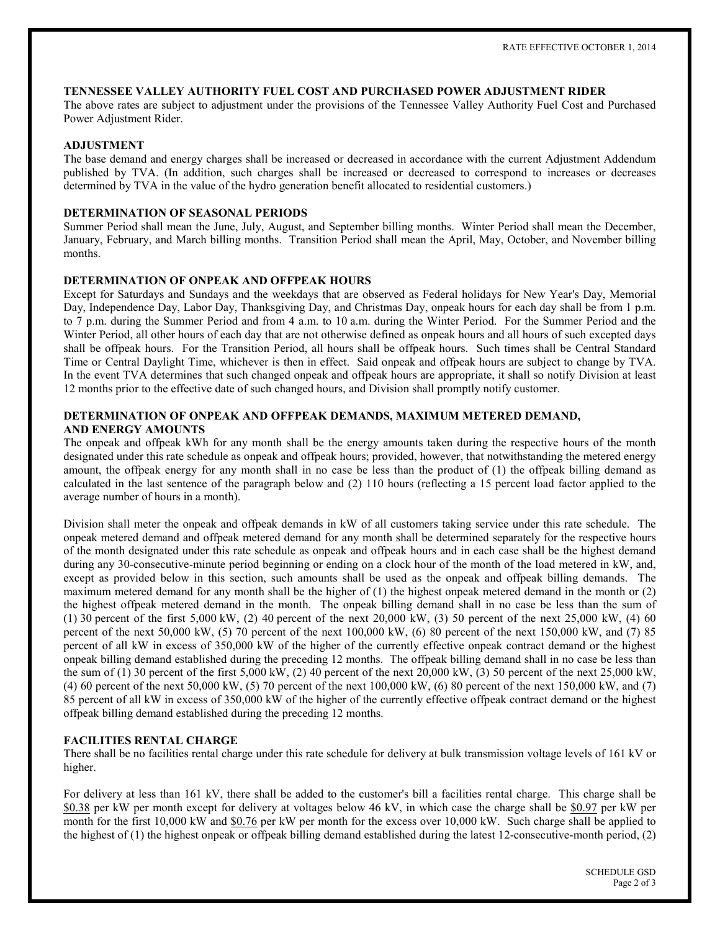### TENNESSEE VALLEY AUTHORITY FUEL COST AND PURCHASED POWER ADJUSTMENT RIDER

The above rates are subject to adjustment under the provisions of the Tennessee Valley Authority Fuel Cost and Purchased Power Adjustment Rider.

### **ADJUSTMENT**

The base demand and energy charges shall be increased or decreased in accordance with the current Adjustment Addendum published by TVA. (In addition, such charges shall be increased or decreased to correspond to increases or decreases determined by TVA in the value of the hydro generation benefit allocated to residential customers.)

### DETERMINATION OF SEASONAL PERIODS

Summer Period shall mean the June, July, August, and September billing months. Winter Period shall mean the December, January, February, and March billing months. Transition Period shall mean the April, May, October, and November billing months.

### DETERMINATION OF ONPEAK AND OFFPEAK HOURS

Except for Saturdays and Sundays and the weekdays that are observed as Federal holidays for New Year's Day, Memorial Day, Independence Day, Labor Day, Thanksgiving Day, and Christmas Day, onpeak hours for each day shall be from 1 p.m. to 7 p.m. during the Summer Period and from 4 a.m. to 10 a.m. during the Winter Period. For the Summer Period and the Winter Period, all other hours of each day that are not otherwise defined as onpeak hours and all hours of such excepted days shall be offpeak hours. For the Transition Period, all hours shall be offpeak hours. Such times shall be Central Standard Time or Central Daylight Time, whichever is then in effect. Said onpeak and offpeak hours are subject to change by TVA. In the event TVA determines that such changed onpeak and offpeak hours are appropriate, it shall so notify Division at least 12 months prior to the effective date of such changed hours, and Division shall promptly notify customer.

# DETERMINATION OF ONPEAK AND OFFPEAK DEMANDS, MAXIMUM METERED DEMAND, **AND ENERGY AMOUNTS**

The onpeak and offpeak kWh for any month shall be the energy amounts taken during the respective hours of the month designated under this rate schedule as onpeak and offpeak hours; provided, however, that notwithstanding the metered energy amount, the offpeak energy for any month shall in no case be less than the product of (1) the offpeak billing demand as calculated in the last sentence of the paragraph below and (2) 110 hours (reflecting a 15 percent load factor applied to the average number of hours in a month).

Division shall meter the onpeak and offpeak demands in kW of all customers taking service under this rate schedule. The onpeak metered demand and offpeak metered demand for any month shall be determined separately for the respective hours of the month designated under this rate schedule as onpeak and offpeak hours and in each case shall be the highest demand during any 30-consecutive-minute period beginning or ending on a clock hour of the month of the load metered in kW, and, except as provided below in this section, such amounts shall be used as the onpeak and offpeak billing demands. The maximum metered demand for any month shall be the higher of  $(1)$  the highest onpeak metered demand in the month or  $(2)$ the highest offpeak metered demand in the month. The onpeak billing demand shall in no case be less than the sum of (1) 30 percent of the first  $5,000 \text{ kW}$ , (2) 40 percent of the next  $20,000 \text{ kW}$ , (3) 50 percent of the next  $25,000 \text{ kW}$ , (4) 60 percent of the next  $50,000 \text{ kW}$ , (5) 70 percent of the next  $100,000 \text{ kW}$ , (6) 80 percent of the next  $150,000 \text{ kW}$ , and (7) 85 percent of all kW in excess of 350,000 kW of the higher of the currently effective onpeak contract demand or the highest onpeak billing demand established during the preceding 12 months. The offpeak billing demand shall in no case be less than the sum of (1) 30 percent of the first 5,000 kW, (2) 40 percent of the next  $20,000$  kW, (3) 50 percent of the next 25,000 kW, (4) 60 percent of the next 50,000 kW, (5) 70 percent of the next 100,000 kW, (6) 80 percent of the next 150,000 kW, and (7) 85 percent of all kW in excess of 350,000 kW of the higher of the currently effective offpeak contract demand or the highest offpeak billing demand established during the preceding 12 months.

## **FACILITIES RENTAL CHARGE**

There shall be no facilities rental charge under this rate schedule for delivery at bulk transmission voltage levels of 161 kV or higher.

For delivery at less than 161 kV, there shall be added to the customer's bill a facilities rental charge. This charge shall be \$0.38 per kW per month except for delivery at voltages below 46 kV, in which case the charge shall be \$0.97 per kW per month for the first 10,000 kW and \$0.76 per kW per month for the excess over 10,000 kW. Such charge shall be applied to the highest of (1) the highest onpeak or offpeak billing demand established during the latest 12-consecutive-month period, (2)